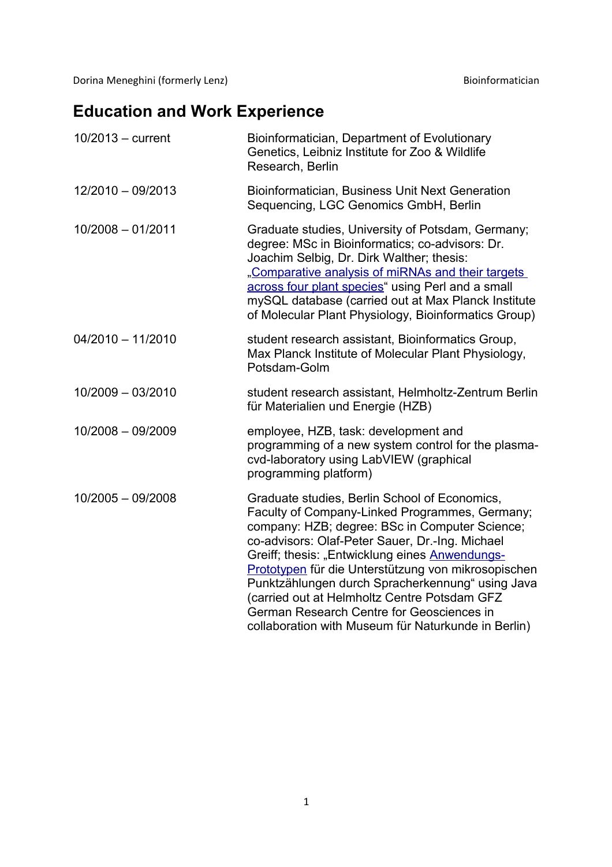Dorina Meneghini (formerly Lenz) and a state of the state of the Bioinformatician

## **Education and Work Experience**

| 10/2013 - current   | Bioinformatician, Department of Evolutionary<br>Genetics, Leibniz Institute for Zoo & Wildlife<br>Research, Berlin                                                                                                                                                                                                                                                                                                                                                                                                    |
|---------------------|-----------------------------------------------------------------------------------------------------------------------------------------------------------------------------------------------------------------------------------------------------------------------------------------------------------------------------------------------------------------------------------------------------------------------------------------------------------------------------------------------------------------------|
| 12/2010 - 09/2013   | <b>Bioinformatician, Business Unit Next Generation</b><br>Sequencing, LGC Genomics GmbH, Berlin                                                                                                                                                                                                                                                                                                                                                                                                                       |
| $10/2008 - 01/2011$ | Graduate studies, University of Potsdam, Germany;<br>degree: MSc in Bioinformatics; co-advisors: Dr.<br>Joachim Selbig, Dr. Dirk Walther; thesis:<br>"Comparative analysis of miRNAs and their targets<br>across four plant species" using Perl and a small<br>mySQL database (carried out at Max Planck Institute<br>of Molecular Plant Physiology, Bioinformatics Group)                                                                                                                                            |
| $04/2010 - 11/2010$ | student research assistant, Bioinformatics Group,<br>Max Planck Institute of Molecular Plant Physiology,<br>Potsdam-Golm                                                                                                                                                                                                                                                                                                                                                                                              |
| 10/2009 - 03/2010   | student research assistant, Helmholtz-Zentrum Berlin<br>für Materialien und Energie (HZB)                                                                                                                                                                                                                                                                                                                                                                                                                             |
| 10/2008 - 09/2009   | employee, HZB, task: development and<br>programming of a new system control for the plasma-<br>cvd-laboratory using LabVIEW (graphical<br>programming platform)                                                                                                                                                                                                                                                                                                                                                       |
| 10/2005 - 09/2008   | Graduate studies, Berlin School of Economics,<br>Faculty of Company-Linked Programmes, Germany;<br>company: HZB; degree: BSc in Computer Science;<br>co-advisors: Olaf-Peter Sauer, Dr.-Ing. Michael<br>Greiff; thesis: "Entwicklung eines Anwendungs-<br>Prototypen für die Unterstützung von mikrosopischen<br>Punktzählungen durch Spracherkennung" using Java<br>(carried out at Helmholtz Centre Potsdam GFZ<br>German Research Centre for Geosciences in<br>collaboration with Museum für Naturkunde in Berlin) |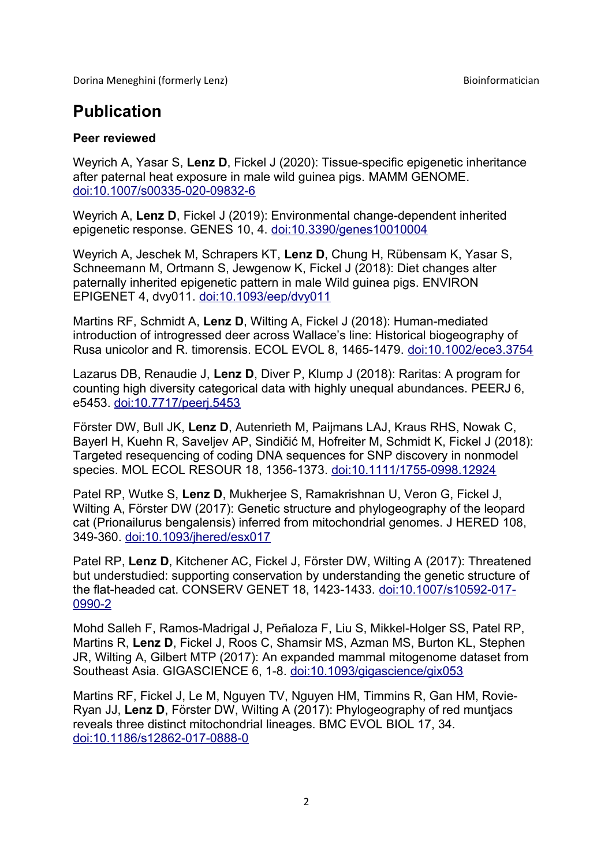Dorina Meneghini (formerly Lenz) and the state of the state of the Bioinformatician Bioinformatician

## **Publication**

## **Peer reviewed**

Weyrich A, Yasar S, **Lenz D**, Fickel J (2020): Tissue-specific epigenetic inheritance after paternal heat exposure in male wild guinea pigs. MAMM GENOME. [doi:10.1007/s00335-020-09832-6](https://link.springer.com/article/10.1007%2Fs00335-020-09832-6)

Weyrich A, **Lenz D**, Fickel J (2019): Environmental change-dependent inherited epigenetic response. GENES 10, 4. [doi:10.3390/genes10010004](https://doi.org/10.3390/genes10010004)

Weyrich A, Jeschek M, Schrapers KT, **Lenz D**, Chung H, Rübensam K, Yasar S, Schneemann M, Ortmann S, Jewgenow K, Fickel J (2018): Diet changes alter paternally inherited epigenetic pattern in male Wild guinea pigs. ENVIRON EPIGENET 4, dvy011. [doi:10.1093/eep/dvy011](https://doi.org/10.1093/eep/dvy011)

Martins RF, Schmidt A, **Lenz D**, Wilting A, Fickel J (2018): Human-mediated introduction of introgressed deer across Wallace's line: Historical biogeography of Rusa unicolor and R. timorensis. ECOL EVOL 8, 1465-1479. [doi:10.1002/ece3.3754](https://doi.org/10.1002/ece3.3754)

Lazarus DB, Renaudie J, **Lenz D**, Diver P, Klump J (2018): Raritas: A program for counting high diversity categorical data with highly unequal abundances. PEERJ 6, e5453. [doi:10.7717/peerj.5453](https://doi.org/10.7717/peerj.5453)

Förster DW, Bull JK, **Lenz D**, Autenrieth M, Paijmans LAJ, Kraus RHS, Nowak C, Bayerl H, Kuehn R, Saveljev AP, Sindičić M, Hofreiter M, Schmidt K, Fickel J (2018): Targeted resequencing of coding DNA sequences for SNP discovery in nonmodel species. MOL ECOL RESOUR 18, 1356-1373. [doi:10.1111/1755-0998.12924](https://doi.org/10.1111/1755-0998.12924)

Patel RP, Wutke S, **Lenz D**, Mukherjee S, Ramakrishnan U, Veron G, Fickel J, Wilting A, Förster DW (2017): Genetic structure and phylogeography of the leopard cat (Prionailurus bengalensis) inferred from mitochondrial genomes. J HERED 108, 349-360. [doi:10.1093/jhered/esx017](https://doi.org/10.1093/jhered/esx017)

Patel RP, **Lenz D**, Kitchener AC, Fickel J, Förster DW, Wilting A (2017): Threatened but understudied: supporting conservation by understanding the genetic structure of the flat-headed cat. CONSERV GENET 18, 1423-1433. [doi:10.1007/s10592-017-](https://doi.org/10.1007/s10592-017-0990-2) [0990-2](https://doi.org/10.1007/s10592-017-0990-2)

Mohd Salleh F, Ramos-Madrigal J, Peñaloza F, Liu S, Mikkel-Holger SS, Patel RP, Martins R, **Lenz D**, Fickel J, Roos C, Shamsir MS, Azman MS, Burton KL, Stephen JR, Wilting A, Gilbert MTP (2017): An expanded mammal mitogenome dataset from Southeast Asia. GIGASCIENCE 6, 1-8. [doi:10.1093/gigascience/gix053](https://doi.org/10.1093/gigascience/gix053)

Martins RF, Fickel J, Le M, Nguyen TV, Nguyen HM, Timmins R, Gan HM, Rovie-Ryan JJ, **Lenz D**, Förster DW, Wilting A (2017): Phylogeography of red muntjacs reveals three distinct mitochondrial lineages. BMC EVOL BIOL 17, 34. [doi:10.1186/s12862-017-0888-0](https://doi.org/10.1186/s12862-017-0888-0)